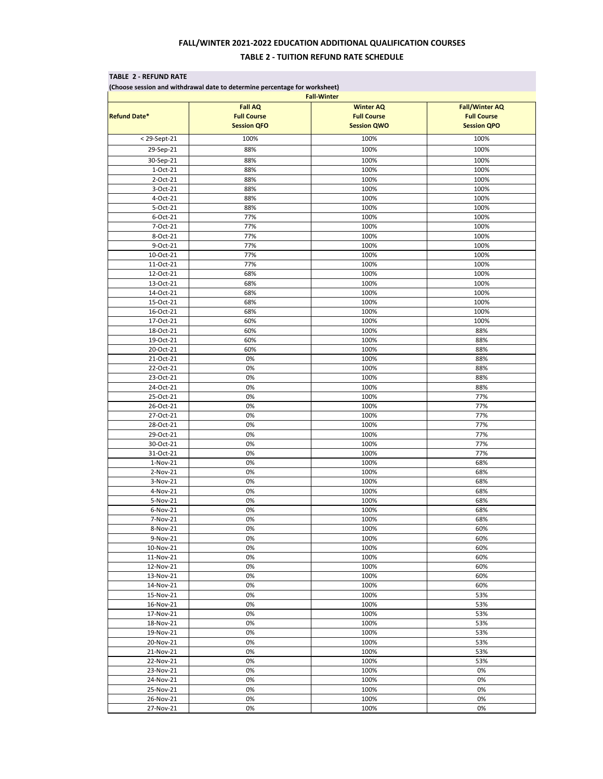### **TABLE 2 - REFUND RATE**

**(Choose session and withdrawal date to determine percentage for worksheet)**

| <b>Fall-Winter</b>     |                                      |                                        |                                             |  |  |  |
|------------------------|--------------------------------------|----------------------------------------|---------------------------------------------|--|--|--|
| <b>Refund Date*</b>    | <b>Fall AQ</b><br><b>Full Course</b> | <b>Winter AQ</b><br><b>Full Course</b> | <b>Fall/Winter AQ</b><br><b>Full Course</b> |  |  |  |
|                        | <b>Session QFO</b>                   | <b>Session QWO</b>                     | <b>Session QPO</b>                          |  |  |  |
| $< 29-Sept-21$         | 100%                                 | 100%                                   | 100%                                        |  |  |  |
| 29-Sep-21              | 88%                                  | 100%                                   | 100%                                        |  |  |  |
| 30-Sep-21              | 88%                                  | 100%                                   | 100%                                        |  |  |  |
| 1-Oct-21               | 88%                                  | 100%                                   | 100%                                        |  |  |  |
| 2-Oct-21               | 88%                                  | 100%                                   | 100%                                        |  |  |  |
| 3-Oct-21               | 88%                                  | 100%                                   | 100%                                        |  |  |  |
| 4-Oct-21               | 88%                                  | 100%                                   | 100%                                        |  |  |  |
| 5-Oct-21               | 88%                                  | 100%                                   | 100%                                        |  |  |  |
| 6-Oct-21               | 77%                                  | 100%                                   | 100%                                        |  |  |  |
| 7-Oct-21               | 77%                                  | 100%                                   | 100%                                        |  |  |  |
| 8-Oct-21<br>9-Oct-21   | 77%<br>77%                           | 100%<br>100%                           | 100%<br>100%                                |  |  |  |
| 10-Oct-21              | 77%                                  | 100%                                   | 100%                                        |  |  |  |
| 11-Oct-21              | 77%                                  | 100%                                   | 100%                                        |  |  |  |
| 12-Oct-21              | 68%                                  | 100%                                   | 100%                                        |  |  |  |
| 13-Oct-21              | 68%                                  | 100%                                   | 100%                                        |  |  |  |
| 14-Oct-21              | 68%                                  | 100%                                   | 100%                                        |  |  |  |
| 15-Oct-21              | 68%                                  | 100%                                   | 100%                                        |  |  |  |
| 16-Oct-21              | 68%                                  | 100%                                   | 100%                                        |  |  |  |
| 17-Oct-21              | 60%                                  | 100%                                   | 100%                                        |  |  |  |
| 18-Oct-21              | 60%                                  | 100%                                   | 88%                                         |  |  |  |
| 19-Oct-21              | 60%                                  | 100%                                   | 88%                                         |  |  |  |
| 20-Oct-21              | 60%<br>0%                            | 100%<br>100%                           | 88%                                         |  |  |  |
| 21-Oct-21<br>22-Oct-21 | 0%                                   | 100%                                   | 88%<br>88%                                  |  |  |  |
| 23-Oct-21              | 0%                                   | 100%                                   | 88%                                         |  |  |  |
| 24-Oct-21              | 0%                                   | 100%                                   | 88%                                         |  |  |  |
| 25-Oct-21              | 0%                                   | 100%                                   | 77%                                         |  |  |  |
| 26-Oct-21              | 0%                                   | 100%                                   | 77%                                         |  |  |  |
| 27-Oct-21              | 0%                                   | 100%                                   | 77%                                         |  |  |  |
| 28-Oct-21              | 0%                                   | 100%                                   | 77%                                         |  |  |  |
| 29-Oct-21              | 0%                                   | 100%                                   | 77%                                         |  |  |  |
| 30-Oct-21              | 0%                                   | 100%                                   | 77%                                         |  |  |  |
| 31-Oct-21              | 0%                                   | 100%                                   | 77%                                         |  |  |  |
| $1-Nov-21$             | 0%                                   | 100%                                   | 68%                                         |  |  |  |
| 2-Nov-21<br>3-Nov-21   | 0%<br>0%                             | 100%<br>100%                           | 68%<br>68%                                  |  |  |  |
| 4-Nov-21               | 0%                                   | 100%                                   | 68%                                         |  |  |  |
| 5-Nov-21               | 0%                                   | 100%                                   | 68%                                         |  |  |  |
| 6-Nov-21               | 0%                                   | 100%                                   | 68%                                         |  |  |  |
| 7-Nov-21               | 0%                                   | 100%                                   | 68%                                         |  |  |  |
| 8-Nov-21               | 0%                                   | 100%                                   | 60%                                         |  |  |  |
| 9-Nov-21               | 0%                                   | 100%                                   | 60%                                         |  |  |  |
| 10-Nov-21              | 0%                                   | 100%                                   | 60%                                         |  |  |  |
| 11-Nov-21              | 0%                                   | 100%                                   | 60%                                         |  |  |  |
| 12-Nov-21              | 0%                                   | 100%                                   | 60%                                         |  |  |  |
| 13-Nov-21<br>14-Nov-21 | 0%<br>0%                             | 100%<br>100%                           | 60%<br>60%                                  |  |  |  |
| 15-Nov-21              | 0%                                   | 100%                                   | 53%                                         |  |  |  |
| 16-Nov-21              | 0%                                   | 100%                                   | 53%                                         |  |  |  |
| 17-Nov-21              | 0%                                   | 100%                                   | 53%                                         |  |  |  |
| 18-Nov-21              | 0%                                   | 100%                                   | 53%                                         |  |  |  |
| 19-Nov-21              | 0%                                   | 100%                                   | 53%                                         |  |  |  |
| 20-Nov-21              | 0%                                   | 100%                                   | 53%                                         |  |  |  |
| 21-Nov-21              | 0%                                   | 100%                                   | 53%                                         |  |  |  |
| 22-Nov-21              | 0%                                   | 100%                                   | 53%                                         |  |  |  |
| 23-Nov-21              | 0%                                   | 100%                                   | 0%                                          |  |  |  |
| 24-Nov-21              | 0%                                   | 100%                                   | 0%                                          |  |  |  |
| 25-Nov-21<br>26-Nov-21 | 0%<br>0%                             | 100%<br>100%                           | 0%<br>0%                                    |  |  |  |
| 27-Nov-21              | 0%                                   | 100%                                   | 0%                                          |  |  |  |
|                        |                                      |                                        |                                             |  |  |  |

# **FALL/WINTER 2021-2022 EDUCATION ADDITIONAL QUALIFICATION COURSES**

## **TABLE 2 - TUITION REFUND RATE SCHEDULE**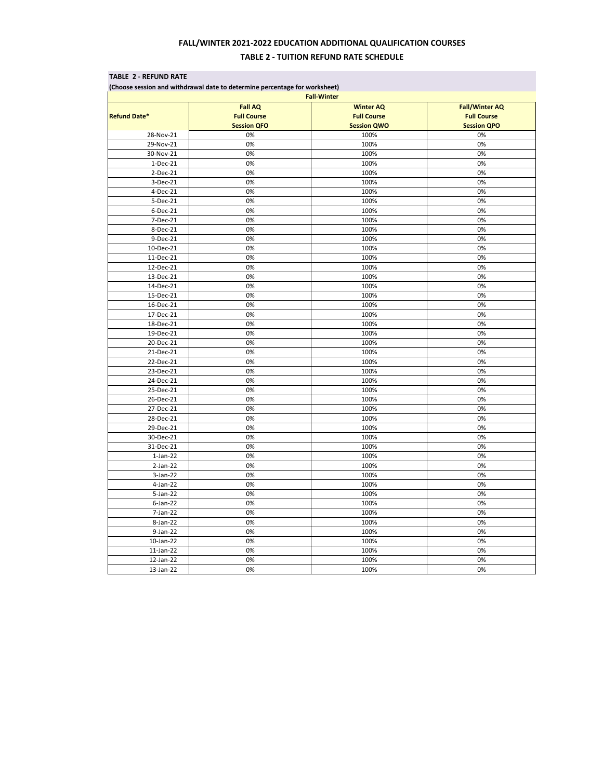### **TABLE 2 - REFUND RATE**

**(Choose session and withdrawal date to determine percentage for worksheet)**

# **FALL/WINTER 2021-2022 EDUCATION ADDITIONAL QUALIFICATION COURSES**

## **TABLE 2 - TUITION REFUND RATE SCHEDULE**

| <b>Fall-Winter</b>  |                    |                                          |                                          |  |  |  |
|---------------------|--------------------|------------------------------------------|------------------------------------------|--|--|--|
|                     | <b>Fall AQ</b>     | <b>Winter AQ</b>                         | <b>Fall/Winter AQ</b>                    |  |  |  |
| <b>Refund Date*</b> | <b>Full Course</b> | <b>Full Course</b><br><b>Session QWO</b> | <b>Full Course</b><br><b>Session QPO</b> |  |  |  |
|                     | <b>Session QFO</b> |                                          |                                          |  |  |  |
| 28-Nov-21           | 0%                 | 100%                                     | 0%                                       |  |  |  |
| 29-Nov-21           | 0%                 | 100%                                     | 0%                                       |  |  |  |
| 30-Nov-21           | 0%                 | 100%                                     | 0%                                       |  |  |  |
| $1-Dec-21$          | 0%                 | 100%                                     | 0%                                       |  |  |  |
| $2-Dec-21$          | 0%                 | 100%                                     | 0%                                       |  |  |  |
| $3-Dec-21$          | 0%                 | 100%                                     | 0%                                       |  |  |  |
| 4-Dec-21            | 0%                 | 100%                                     | 0%                                       |  |  |  |
| 5-Dec-21            | 0%                 | 100%                                     | 0%                                       |  |  |  |
| $6$ -Dec-21         | 0%                 | 100%                                     | 0%                                       |  |  |  |
| 7-Dec-21            | 0%                 | 100%                                     | 0%                                       |  |  |  |
| 8-Dec-21            | 0%                 | 100%                                     | 0%                                       |  |  |  |
| 9-Dec-21            | 0%                 | 100%                                     | 0%                                       |  |  |  |
| 10-Dec-21           | 0%                 | 100%                                     | 0%                                       |  |  |  |
| 11-Dec-21           | 0%                 | 100%                                     | 0%                                       |  |  |  |
| 12-Dec-21           | 0%                 | 100%                                     | 0%                                       |  |  |  |
| 13-Dec-21           | 0%                 | 100%                                     | 0%                                       |  |  |  |
| 14-Dec-21           | 0%                 | 100%                                     | 0%                                       |  |  |  |
| 15-Dec-21           | 0%                 | 100%                                     | 0%                                       |  |  |  |
| 16-Dec-21           | 0%                 | 100%                                     | 0%                                       |  |  |  |
| 17-Dec-21           | 0%                 | 100%                                     | 0%                                       |  |  |  |
| 18-Dec-21           | 0%                 | 100%                                     | 0%                                       |  |  |  |
| 19-Dec-21           | 0%                 | 100%                                     | 0%                                       |  |  |  |
| 20-Dec-21           | 0%                 | 100%                                     | 0%                                       |  |  |  |
| 21-Dec-21           | 0%                 | 100%                                     | 0%                                       |  |  |  |
| 22-Dec-21           | 0%                 | 100%                                     | 0%                                       |  |  |  |
| 23-Dec-21           | 0%                 | 100%                                     | 0%                                       |  |  |  |
| 24-Dec-21           | 0%                 | 100%                                     | 0%                                       |  |  |  |
| 25-Dec-21           | 0%                 | 100%                                     | 0%                                       |  |  |  |
| 26-Dec-21           | 0%                 | 100%                                     | 0%                                       |  |  |  |
| 27-Dec-21           | 0%                 | 100%                                     | 0%                                       |  |  |  |
| 28-Dec-21           | 0%                 | 100%                                     | 0%                                       |  |  |  |
| 29-Dec-21           | 0%                 | 100%                                     | 0%                                       |  |  |  |
| 30-Dec-21           | 0%                 | 100%                                     | 0%                                       |  |  |  |
| 31-Dec-21           | 0%                 | 100%                                     | 0%                                       |  |  |  |
| $1-Jan-22$          | 0%                 | 100%                                     | 0%                                       |  |  |  |
| $2-Jan-22$          | 0%                 | 100%                                     | 0%                                       |  |  |  |
| $3-Jan-22$          | 0%                 | 100%                                     | 0%                                       |  |  |  |
| 4-Jan-22            | 0%                 | 100%                                     | 0%                                       |  |  |  |
| 5-Jan-22            | 0%                 | 100%                                     | 0%                                       |  |  |  |
| $6$ -Jan-22         | 0%                 | 100%                                     | 0%                                       |  |  |  |
| 7-Jan-22            | 0%                 | 100%                                     | 0%                                       |  |  |  |
| 8-Jan-22            | 0%                 | 100%                                     | 0%                                       |  |  |  |
| $9-Jan-22$          | 0%                 | 100%                                     | 0%                                       |  |  |  |
| 10-Jan-22           | 0%                 | 100%                                     | 0%                                       |  |  |  |
| $11$ -Jan-22        | 0%                 | 100%                                     | 0%                                       |  |  |  |
| 12-Jan-22           | 0%                 | 100%                                     | 0%                                       |  |  |  |
| 13-Jan-22           | 0%                 | 100%                                     | 0%                                       |  |  |  |